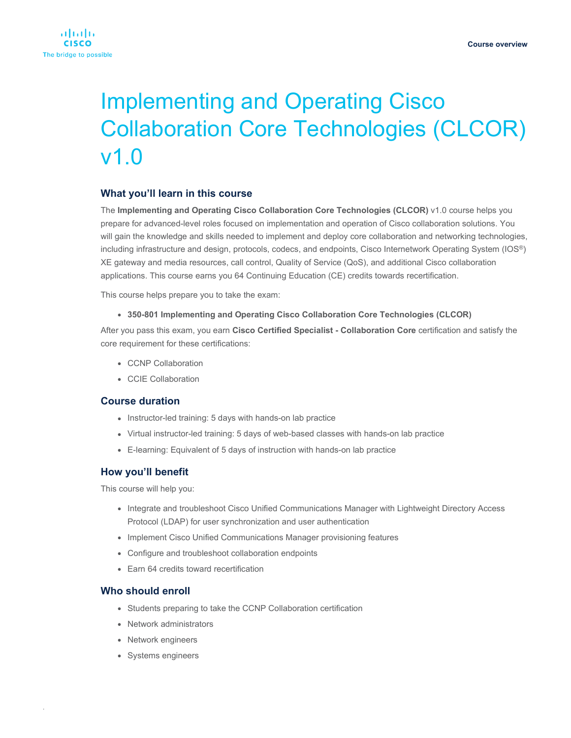

# Implementing and Operating Cisco Collaboration Core Technologies (CLCOR) v1.0

# **What you'll learn in this course**

The **Implementing and Operating Cisco Collaboration Core Technologies (CLCOR)** v1.0 course helps you prepare for advanced-level roles focused on implementation and operation of Cisco collaboration solutions. You will gain the knowledge and skills needed to implement and deploy core collaboration and networking technologies, including infrastructure and design, protocols, codecs, and endpoints, Cisco Internetwork Operating System (IOS®) XE gateway and media resources, call control, Quality of Service (QoS), and additional Cisco collaboration applications. This course earns you 64 Continuing Education (CE) credits towards recertification.

This course helps prepare you to take the exam:

● **350-801 Implementing and Operating Cisco Collaboration Core Technologies (CLCOR)**

After you pass this exam, you earn **Cisco Certified Specialist - Collaboration Core** certification and satisfy the core requirement for these certifications:

- CCNP Collaboration
- CCIE Collaboration

## **Course duration**

- Instructor-led training: 5 days with hands-on lab practice
- Virtual instructor-led training: 5 days of web-based classes with hands-on lab practice
- E-learning: Equivalent of 5 days of instruction with hands-on lab practice

# **How you'll benefit**

This course will help you:

- Integrate and troubleshoot Cisco Unified Communications Manager with Lightweight Directory Access Protocol (LDAP) for user synchronization and user authentication
- Implement Cisco Unified Communications Manager provisioning features
- Configure and troubleshoot collaboration endpoints
- Earn 64 credits toward recertification

# **Who should enroll**

.

- Students preparing to take the CCNP Collaboration certification
- Network administrators
- Network engineers
- Systems engineers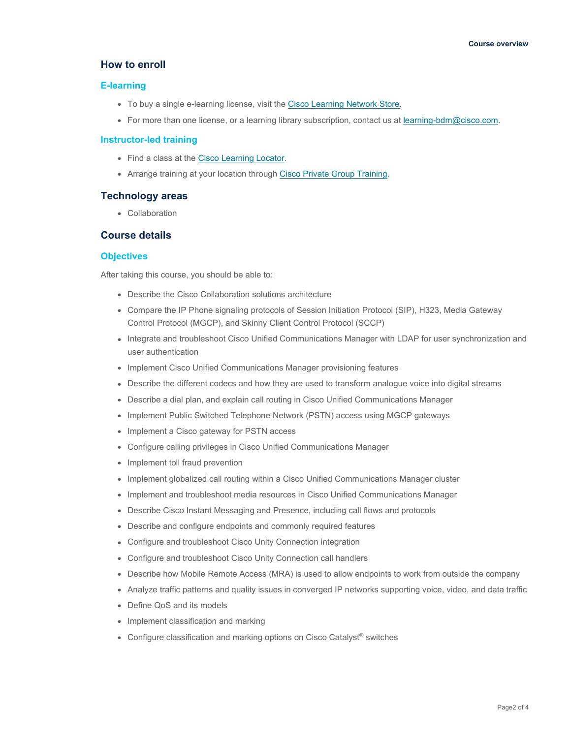# **How to enroll**

#### **E-learning**

- To buy a single e-learning license, visit the [Cisco Learning Network Store.](https://learningnetworkstore.cisco.com/on-demand-e-learning/implementing-and-operating-cisco-collaboration-core-technologies-clcor-v1-0-elt-clcor-v1-023969)
- For more than one license, or a learning library subscription, contact us a[t learning-bdm@cisco.com.](mailto:learning-bdm@cisco.com)

#### **Instructor-led training**

- Find a class at the [Cisco Learning Locator.](https://learninglocator.cloudapps.cisco.com/#/course-details/8739)
- Arrange training at your location through [Cisco Private Group Training.](https://www.cisco.com/c/en/us/training-events/resources/training-services/technology/private-group-training.html)

## **Technology areas**

● Collaboration

## **Course details**

## **Objectives**

After taking this course, you should be able to:

- Describe the Cisco Collaboration solutions architecture
- Compare the IP Phone signaling protocols of Session Initiation Protocol (SIP), H323, Media Gateway Control Protocol (MGCP), and Skinny Client Control Protocol (SCCP)
- Integrate and troubleshoot Cisco Unified Communications Manager with LDAP for user synchronization and user authentication
- Implement Cisco Unified Communications Manager provisioning features
- Describe the different codecs and how they are used to transform analogue voice into digital streams
- Describe a dial plan, and explain call routing in Cisco Unified Communications Manager
- Implement Public Switched Telephone Network (PSTN) access using MGCP gateways
- Implement a Cisco gateway for PSTN access
- Configure calling privileges in Cisco Unified Communications Manager
- Implement toll fraud prevention
- Implement globalized call routing within a Cisco Unified Communications Manager cluster
- Implement and troubleshoot media resources in Cisco Unified Communications Manager
- Describe Cisco Instant Messaging and Presence, including call flows and protocols
- Describe and configure endpoints and commonly required features
- Configure and troubleshoot Cisco Unity Connection integration
- Configure and troubleshoot Cisco Unity Connection call handlers
- Describe how Mobile Remote Access (MRA) is used to allow endpoints to work from outside the company
- Analyze traffic patterns and quality issues in converged IP networks supporting voice, video, and data traffic
- Define QoS and its models
- Implement classification and marking
- Configure classification and marking options on Cisco Catalyst<sup>®</sup> switches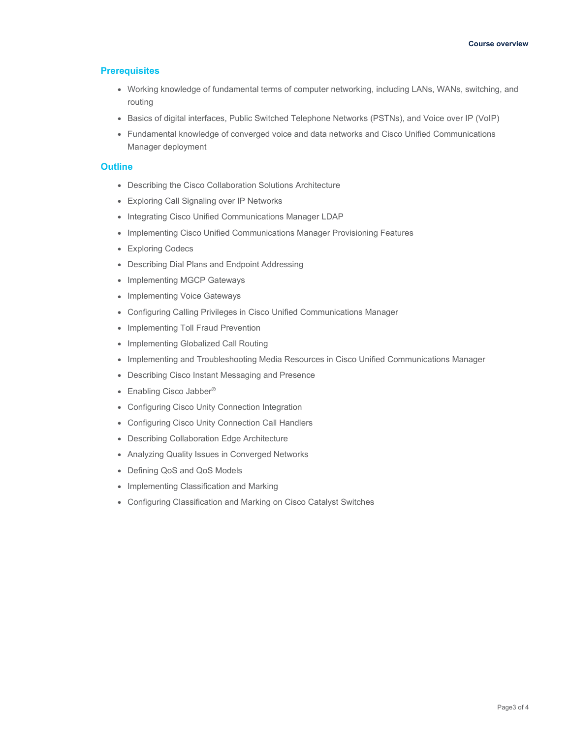## **Prerequisites**

- Working knowledge of fundamental terms of computer networking, including LANs, WANs, switching, and routing
- Basics of digital interfaces, Public Switched Telephone Networks (PSTNs), and Voice over IP (VoIP)
- Fundamental knowledge of converged voice and data networks and Cisco Unified Communications Manager deployment

## **Outline**

- Describing the Cisco Collaboration Solutions Architecture
- Exploring Call Signaling over IP Networks
- Integrating Cisco Unified Communications Manager LDAP
- Implementing Cisco Unified Communications Manager Provisioning Features
- Exploring Codecs
- Describing Dial Plans and Endpoint Addressing
- Implementing MGCP Gateways
- Implementing Voice Gateways
- Configuring Calling Privileges in Cisco Unified Communications Manager
- Implementing Toll Fraud Prevention
- Implementing Globalized Call Routing
- Implementing and Troubleshooting Media Resources in Cisco Unified Communications Manager
- Describing Cisco Instant Messaging and Presence
- Enabling Cisco Jabber<sup>®</sup>
- Configuring Cisco Unity Connection Integration
- Configuring Cisco Unity Connection Call Handlers
- Describing Collaboration Edge Architecture
- Analyzing Quality Issues in Converged Networks
- Defining QoS and QoS Models
- Implementing Classification and Marking
- Configuring Classification and Marking on Cisco Catalyst Switches